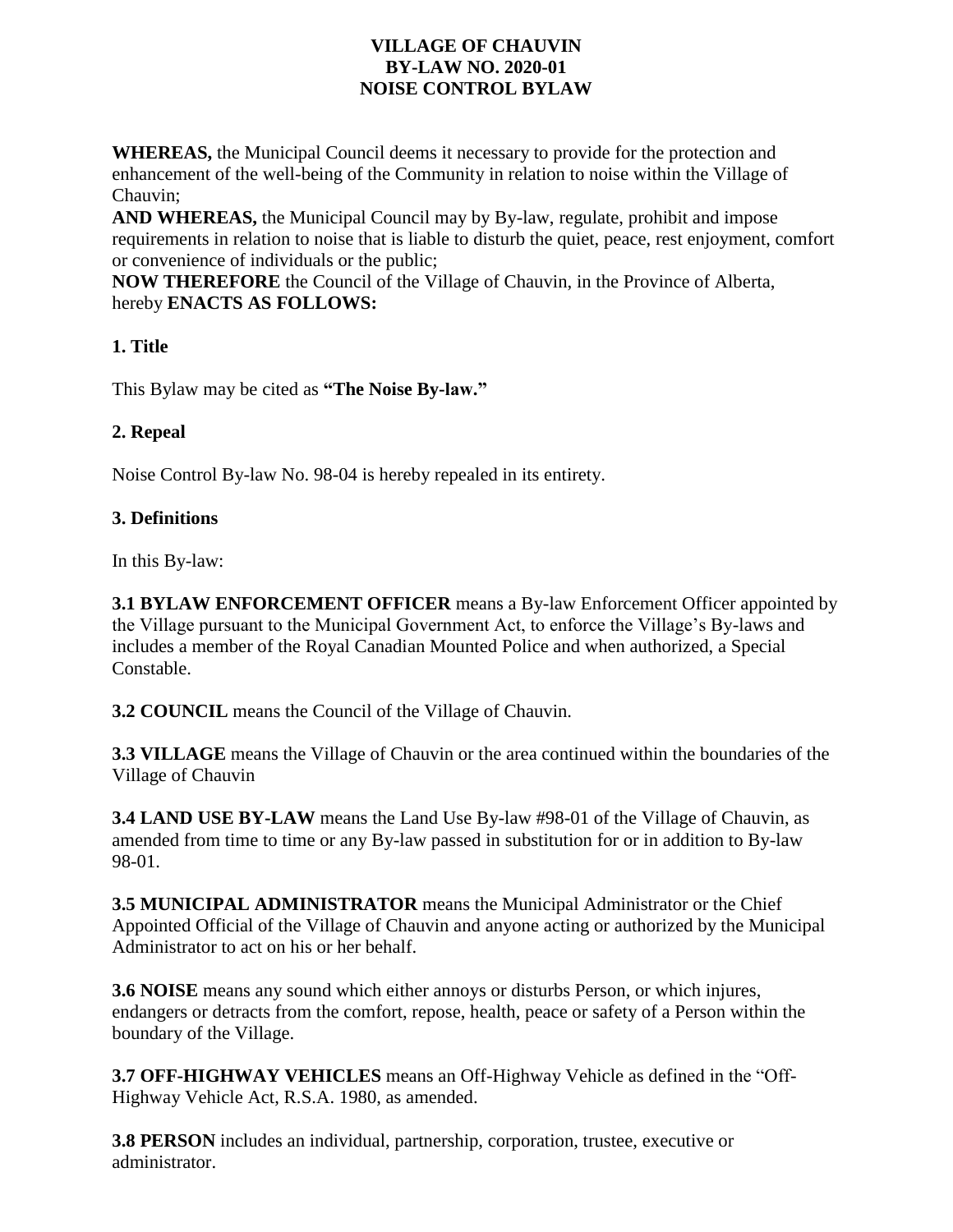### **VILLAGE OF CHAUVIN BY-LAW NO. 2020-01 NOISE CONTROL BYLAW**

**WHEREAS,** the Municipal Council deems it necessary to provide for the protection and enhancement of the well-being of the Community in relation to noise within the Village of Chauvin;

**AND WHEREAS,** the Municipal Council may by By-law, regulate, prohibit and impose requirements in relation to noise that is liable to disturb the quiet, peace, rest enjoyment, comfort or convenience of individuals or the public;

**NOW THEREFORE** the Council of the Village of Chauvin, in the Province of Alberta, hereby **ENACTS AS FOLLOWS:**

# **1. Title**

This Bylaw may be cited as **"The Noise By-law."**

### **2. Repeal**

Noise Control By-law No. 98-04 is hereby repealed in its entirety.

### **3. Definitions**

In this By-law:

**3.1 BYLAW ENFORCEMENT OFFICER** means a By-law Enforcement Officer appointed by the Village pursuant to the Municipal Government Act, to enforce the Village's By-laws and includes a member of the Royal Canadian Mounted Police and when authorized, a Special Constable.

**3.2 COUNCIL** means the Council of the Village of Chauvin.

**3.3 VILLAGE** means the Village of Chauvin or the area continued within the boundaries of the Village of Chauvin

**3.4 LAND USE BY-LAW** means the Land Use By-law #98-01 of the Village of Chauvin, as amended from time to time or any By-law passed in substitution for or in addition to By-law 98-01.

**3.5 MUNICIPAL ADMINISTRATOR** means the Municipal Administrator or the Chief Appointed Official of the Village of Chauvin and anyone acting or authorized by the Municipal Administrator to act on his or her behalf.

**3.6 NOISE** means any sound which either annoys or disturbs Person, or which injures, endangers or detracts from the comfort, repose, health, peace or safety of a Person within the boundary of the Village.

**3.7 OFF-HIGHWAY VEHICLES** means an Off-Highway Vehicle as defined in the "Off-Highway Vehicle Act, R.S.A. 1980, as amended.

**3.8 PERSON** includes an individual, partnership, corporation, trustee, executive or administrator.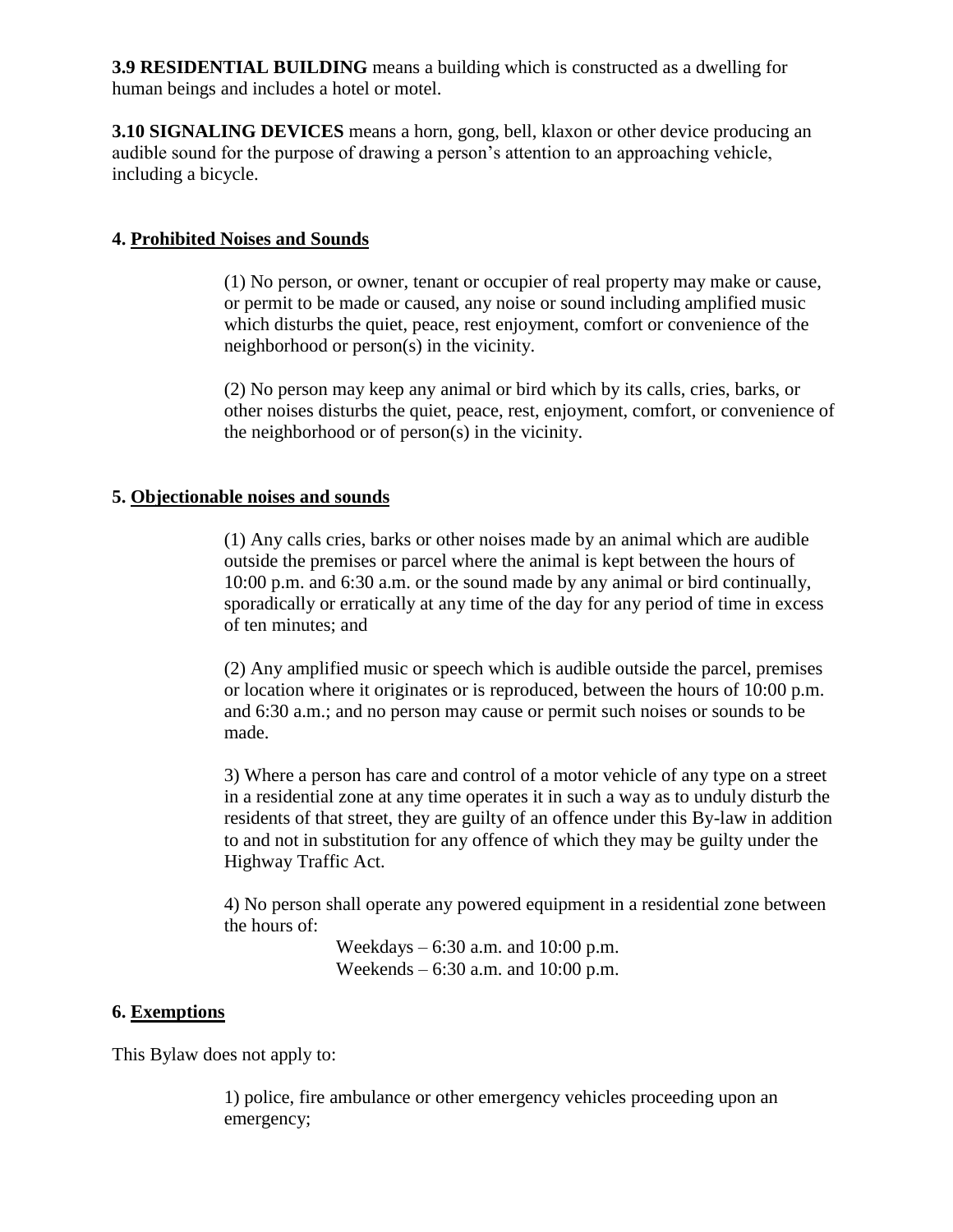**3.9 RESIDENTIAL BUILDING** means a building which is constructed as a dwelling for human beings and includes a hotel or motel.

**3.10 SIGNALING DEVICES** means a horn, gong, bell, klaxon or other device producing an audible sound for the purpose of drawing a person's attention to an approaching vehicle, including a bicycle.

### **4. Prohibited Noises and Sounds**

(1) No person, or owner, tenant or occupier of real property may make or cause, or permit to be made or caused, any noise or sound including amplified music which disturbs the quiet, peace, rest enjoyment, comfort or convenience of the neighborhood or person(s) in the vicinity.

(2) No person may keep any animal or bird which by its calls, cries, barks, or other noises disturbs the quiet, peace, rest, enjoyment, comfort, or convenience of the neighborhood or of person(s) in the vicinity.

### **5. Objectionable noises and sounds**

(1) Any calls cries, barks or other noises made by an animal which are audible outside the premises or parcel where the animal is kept between the hours of 10:00 p.m. and 6:30 a.m. or the sound made by any animal or bird continually, sporadically or erratically at any time of the day for any period of time in excess of ten minutes; and

(2) Any amplified music or speech which is audible outside the parcel, premises or location where it originates or is reproduced, between the hours of 10:00 p.m. and 6:30 a.m.; and no person may cause or permit such noises or sounds to be made.

3) Where a person has care and control of a motor vehicle of any type on a street in a residential zone at any time operates it in such a way as to unduly disturb the residents of that street, they are guilty of an offence under this By-law in addition to and not in substitution for any offence of which they may be guilty under the Highway Traffic Act.

4) No person shall operate any powered equipment in a residential zone between the hours of:

> Weekdays – 6:30 a.m. and 10:00 p.m. Weekends – 6:30 a.m. and 10:00 p.m.

#### **6. Exemptions**

This Bylaw does not apply to:

1) police, fire ambulance or other emergency vehicles proceeding upon an emergency;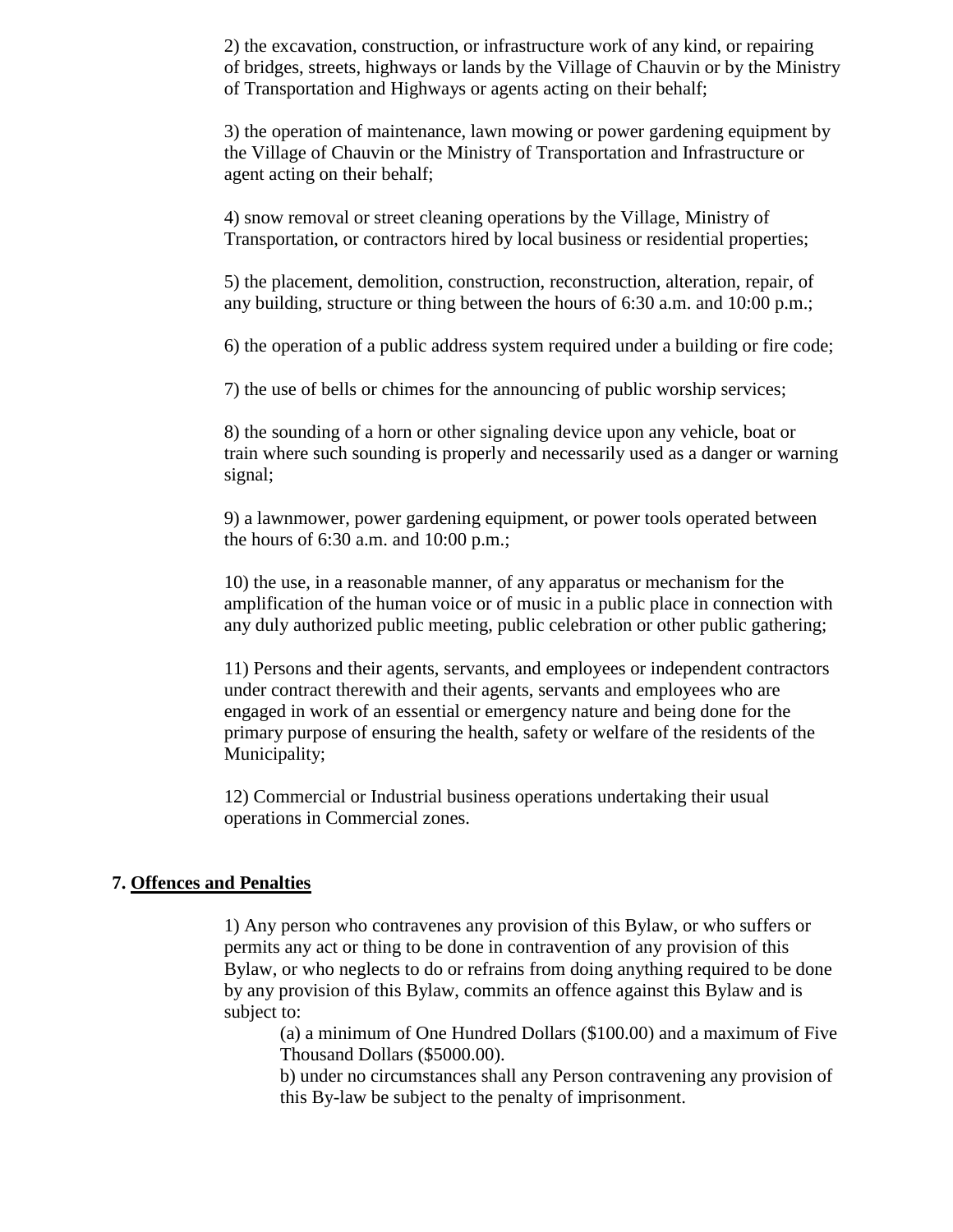2) the excavation, construction, or infrastructure work of any kind, or repairing of bridges, streets, highways or lands by the Village of Chauvin or by the Ministry of Transportation and Highways or agents acting on their behalf;

3) the operation of maintenance, lawn mowing or power gardening equipment by the Village of Chauvin or the Ministry of Transportation and Infrastructure or agent acting on their behalf;

4) snow removal or street cleaning operations by the Village, Ministry of Transportation, or contractors hired by local business or residential properties;

5) the placement, demolition, construction, reconstruction, alteration, repair, of any building, structure or thing between the hours of 6:30 a.m. and 10:00 p.m.;

6) the operation of a public address system required under a building or fire code;

7) the use of bells or chimes for the announcing of public worship services;

8) the sounding of a horn or other signaling device upon any vehicle, boat or train where such sounding is properly and necessarily used as a danger or warning signal;

9) a lawnmower, power gardening equipment, or power tools operated between the hours of 6:30 a.m. and 10:00 p.m.;

10) the use, in a reasonable manner, of any apparatus or mechanism for the amplification of the human voice or of music in a public place in connection with any duly authorized public meeting, public celebration or other public gathering;

11) Persons and their agents, servants, and employees or independent contractors under contract therewith and their agents, servants and employees who are engaged in work of an essential or emergency nature and being done for the primary purpose of ensuring the health, safety or welfare of the residents of the Municipality;

12) Commercial or Industrial business operations undertaking their usual operations in Commercial zones.

#### **7. Offences and Penalties**

1) Any person who contravenes any provision of this Bylaw, or who suffers or permits any act or thing to be done in contravention of any provision of this Bylaw, or who neglects to do or refrains from doing anything required to be done by any provision of this Bylaw, commits an offence against this Bylaw and is subject to:

(a) a minimum of One Hundred Dollars (\$100.00) and a maximum of Five Thousand Dollars (\$5000.00).

b) under no circumstances shall any Person contravening any provision of this By-law be subject to the penalty of imprisonment.